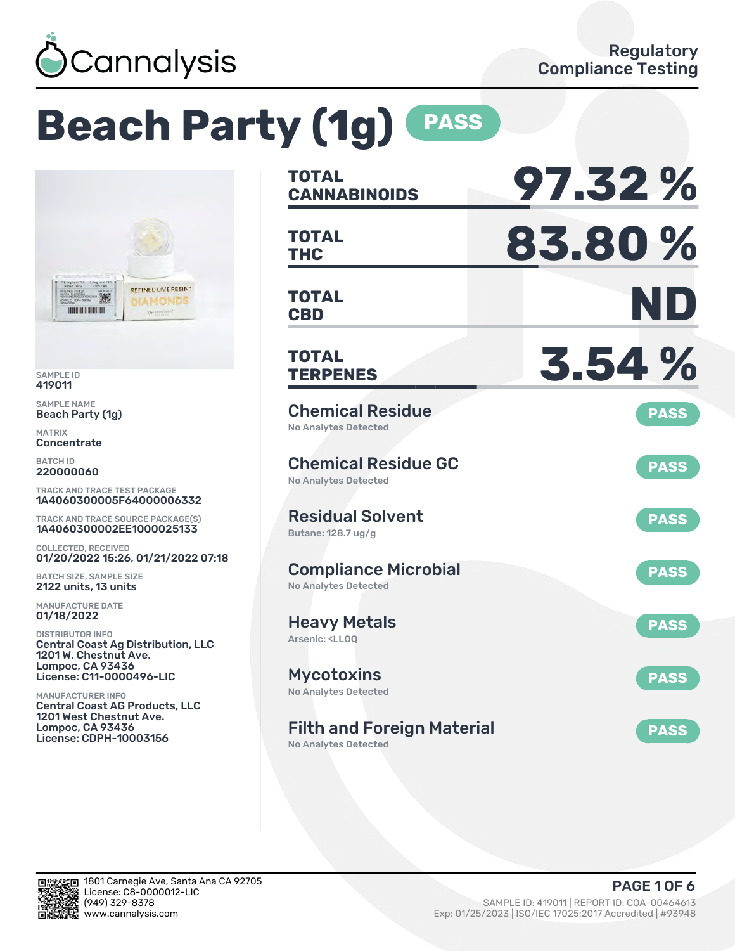

# **Beach Party (1g) PASS**



SAMPLE ID 419011

SAMPLE NAME Beach Party (1g)

MATRIX Concentrate

BATCH ID 220000060

TRACK AND TRACE TEST PACKAGE 1A4060300005F64000006332

TRACK AND TRACE SOURCE PACKAGE(S) 1A4060300002EE1000025133

COLLECTED, RECEIVED 01/20/2022 15:26, 01/21/2022 07:18

BATCH SIZE, SAMPLE SIZE 2122 units, 13 units

MANUFACTURE DATE 01/18/2022

DISTRIBUTOR INFO Central Coast Ag Distribution, LLC 1201 W. Chestnut Ave. Lompoc, CA 93436 License: C11-0000496-LIC

MANUFACTURER INFO Central Coast AG Products, LLC 1201 West Chestnut Ave. Lompoc, CA 93436 License: CDPH-10003156

| <b>TOTAL</b><br><b>CANNABINOIDS</b>                                       | 97.32%      |
|---------------------------------------------------------------------------|-------------|
| <b>TOTAL</b><br>THC                                                       | 83.80%      |
| <b>TOTAL</b><br><b>CBD</b>                                                | ND          |
| TOTAL<br><b>TERPENES</b>                                                  | 3.54%       |
| <b>Chemical Residue</b><br>No Analytes Detected                           | <b>PASS</b> |
| <b>Chemical Residue GC</b><br><b>No Analytes Detected</b>                 | <b>PASS</b> |
| <b>Residual Solvent</b><br>Butane: 128.7 ug/g                             | <b>PASS</b> |
| <b>Compliance Microbial</b><br><b>No Analytes Detected</b>                | <b>PASS</b> |
| <b>Heavy Metals</b><br>Arsenic: <ll00< td=""><td><b>PASS</b></td></ll00<> | <b>PASS</b> |
| <b>Mycotoxins</b><br>No Analytes Detected                                 | <b>PASS</b> |
| <b>Filth and Foreign Material</b>                                         | <b>PASS</b> |

No Analytes Detected

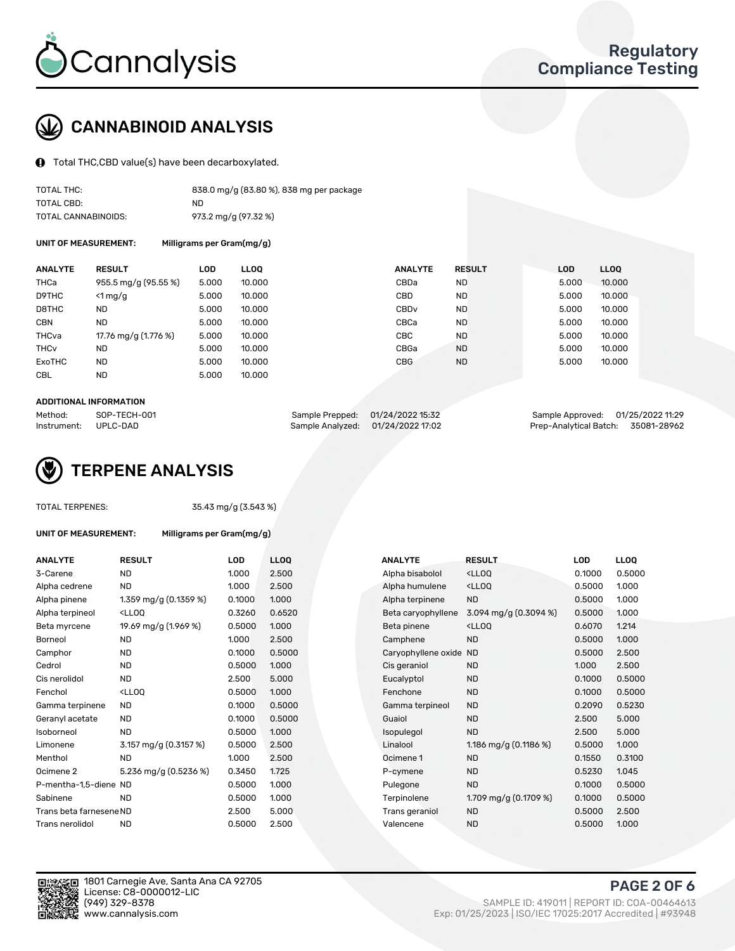

### CANNABINOID ANALYSIS

Total THC,CBD value(s) have been decarboxylated.

| TOTAL THC:          | 838.0 mg/g (83.80 %), 838 mg per package |
|---------------------|------------------------------------------|
| TOTAL CBD:          | ND.                                      |
| TOTAL CANNABINOIDS: | 973.2 mg/g (97.32 %)                     |

UNIT OF MEASUREMENT: Milligrams per Gram(mg/g)

| <b>ANALYTE</b>         | <b>RESULT</b>        | LOD   | <b>LLOO</b> | <b>ANALYTE</b>   | <b>RESULT</b> | <b>LOD</b> | <b>LLOO</b> |
|------------------------|----------------------|-------|-------------|------------------|---------------|------------|-------------|
| THCa                   | 955.5 mg/g (95.55 %) | 5.000 | 10.000      | CBDa             | <b>ND</b>     | 5.000      | 10.000      |
| D9THC                  | $<$ 1 mg/g           | 5.000 | 10.000      | CBD              | <b>ND</b>     | 5.000      | 10.000      |
| D8THC                  | <b>ND</b>            | 5.000 | 10.000      | CBD <sub>v</sub> | <b>ND</b>     | 5.000      | 10.000      |
| <b>CBN</b>             | <b>ND</b>            | 5.000 | 10.000      | CBCa             | <b>ND</b>     | 5.000      | 10.000      |
| THCva                  | 17.76 mg/g (1.776 %) | 5.000 | 10.000      | CBC              | <b>ND</b>     | 5.000      | 10.000      |
| <b>THC<sub>v</sub></b> | ND                   | 5.000 | 10.000      | CBGa             | <b>ND</b>     | 5.000      | 10.000      |
| ExoTHC                 | <b>ND</b>            | 5.000 | 10.000      | <b>CBG</b>       | <b>ND</b>     | 5.000      | 10.000      |
| <b>CBL</b>             | <b>ND</b>            | 5.000 | 10.000      |                  |               |            |             |

#### ADDITIONAL INFORMATION

| Method:              | SOP-TECH-001 | Sample Prepped: 01/24/2022 15:32  | Sample Approved: 01/25/2022 11:29  |  |
|----------------------|--------------|-----------------------------------|------------------------------------|--|
| Instrument: UPLC-DAD |              | Sample Analyzed: 01/24/2022 17:02 | Prep-Analytical Batch: 35081-28962 |  |



TOTAL TERPENES: 35.43 mg/g (3.543 %)

| UNIT OF MEASUREMENT: | Milligrams per Gram(mg/g) |
|----------------------|---------------------------|
|----------------------|---------------------------|

| <b>ANALYTE</b>          | <b>RESULT</b>                                                                                                                             | <b>LOD</b> | <b>LLOQ</b> | <b>ANALYTE</b>      | <b>RESULT</b>                                      | <b>LOD</b> | <b>LLOQ</b> |
|-------------------------|-------------------------------------------------------------------------------------------------------------------------------------------|------------|-------------|---------------------|----------------------------------------------------|------------|-------------|
| 3-Carene                | <b>ND</b>                                                                                                                                 | 1.000      | 2.500       | Alpha bisabolol     | <lloq< td=""><td>0.1000</td><td>0.500</td></lloq<> | 0.1000     | 0.500       |
| Alpha cedrene           | ND.                                                                                                                                       | 1.000      | 2.500       | Alpha humulene      | <ll0q< td=""><td>0.5000</td><td>1.000</td></ll0q<> | 0.5000     | 1.000       |
| Alpha pinene            | 1.359 mg/g (0.1359 %)                                                                                                                     | 0.1000     | 1.000       | Alpha terpinene     | <b>ND</b>                                          | 0.5000     | 1.000       |
| Alpha terpineol         | <lloq< td=""><td>0.3260</td><td>0.6520</td><td>Beta caryophyllene</td><td>3.094 mg/g (0.3094 %)</td><td>0.5000</td><td>1.000</td></lloq<> | 0.3260     | 0.6520      | Beta caryophyllene  | 3.094 mg/g (0.3094 %)                              | 0.5000     | 1.000       |
| Beta myrcene            | 19.69 mg/g (1.969 %)                                                                                                                      | 0.5000     | 1.000       | Beta pinene         | <lloq< td=""><td>0.6070</td><td>1.214</td></lloq<> | 0.6070     | 1.214       |
| Borneol                 | <b>ND</b>                                                                                                                                 | 1.000      | 2.500       | Camphene            | <b>ND</b>                                          | 0.5000     | 1.000       |
| Camphor                 | <b>ND</b>                                                                                                                                 | 0.1000     | 0.5000      | Caryophyllene oxide | <b>ND</b>                                          | 0.5000     | 2.500       |
| Cedrol                  | ND.                                                                                                                                       | 0.5000     | 1.000       | Cis geraniol        | <b>ND</b>                                          | 1.000      | 2.500       |
| Cis nerolidol           | <b>ND</b>                                                                                                                                 | 2.500      | 5.000       | Eucalyptol          | <b>ND</b>                                          | 0.1000     | 0.500       |
| Fenchol                 | <lloq< td=""><td>0.5000</td><td>1.000</td><td>Fenchone</td><td><b>ND</b></td><td>0.1000</td><td>0.500</td></lloq<>                        | 0.5000     | 1.000       | Fenchone            | <b>ND</b>                                          | 0.1000     | 0.500       |
| Gamma terpinene         | ND.                                                                                                                                       | 0.1000     | 0.5000      | Gamma terpineol     | <b>ND</b>                                          | 0.2090     | 0.523       |
| Geranyl acetate         | <b>ND</b>                                                                                                                                 | 0.1000     | 0.5000      | Guaiol              | <b>ND</b>                                          | 2.500      | 5.000       |
| Isoborneol              | <b>ND</b>                                                                                                                                 | 0.5000     | 1.000       | Isopulegol          | <b>ND</b>                                          | 2.500      | 5.000       |
| Limonene                | 3.157 mg/g (0.3157 %)                                                                                                                     | 0.5000     | 2.500       | Linalool            | 1.186 mg/g $(0.1186%)$                             | 0.5000     | 1.000       |
| Menthol                 | ND.                                                                                                                                       | 1.000      | 2.500       | Ocimene 1           | <b>ND</b>                                          | 0.1550     | 0.310       |
| Ocimene 2               | 5.236 mg/g (0.5236 %)                                                                                                                     | 0.3450     | 1.725       | P-cymene            | <b>ND</b>                                          | 0.5230     | 1.045       |
| P-mentha-1,5-diene ND   |                                                                                                                                           | 0.5000     | 1.000       | Pulegone            | <b>ND</b>                                          | 0.1000     | 0.500       |
| Sabinene                | <b>ND</b>                                                                                                                                 | 0.5000     | 1.000       | Terpinolene         | 1.709 mg/g $(0.1709\%)$                            | 0.1000     | 0.500       |
| Trans beta farnesene ND |                                                                                                                                           | 2.500      | 5.000       | Trans geraniol      | <b>ND</b>                                          | 0.5000     | 2.500       |
| Trans nerolidol         | <b>ND</b>                                                                                                                                 | 0.5000     | 2.500       | Valencene           | <b>ND</b>                                          | 0.5000     | 1.000       |

| ANALYTE                 | <b>RESULT</b>                                                                                                                                          | <b>LOD</b> | <b>LLOQ</b> | <b>ANALYTE</b>         | <b>RESULT</b>                                       | <b>LOD</b> | <b>LLOQ</b> |
|-------------------------|--------------------------------------------------------------------------------------------------------------------------------------------------------|------------|-------------|------------------------|-----------------------------------------------------|------------|-------------|
| 3-Carene                | <b>ND</b>                                                                                                                                              | 1.000      | 2.500       | Alpha bisabolol        | <lloq< td=""><td>0.1000</td><td>0.5000</td></lloq<> | 0.1000     | 0.5000      |
| Alpha cedrene           | <b>ND</b>                                                                                                                                              | 1.000      | 2.500       | Alpha humulene         | <lloq< td=""><td>0.5000</td><td>1.000</td></lloq<>  | 0.5000     | 1.000       |
| Alpha pinene            | 1.359 mg/g (0.1359 %)                                                                                                                                  | 0.1000     | 1.000       | Alpha terpinene        | <b>ND</b>                                           | 0.5000     | 1.000       |
| Alpha terpineol         | <lloq< td=""><td>0.3260</td><td>0.6520</td><td>Beta caryophyllene</td><td><math>3.094</math> mg/g (0.3094 %)</td><td>0.5000</td><td>1.000</td></lloq<> | 0.3260     | 0.6520      | Beta caryophyllene     | $3.094$ mg/g (0.3094 %)                             | 0.5000     | 1.000       |
| Beta myrcene            | 19.69 mg/g (1.969 %)                                                                                                                                   | 0.5000     | 1.000       | Beta pinene            | <lloq< td=""><td>0.6070</td><td>1.214</td></lloq<>  | 0.6070     | 1.214       |
| Borneol                 | <b>ND</b>                                                                                                                                              | 1.000      | 2.500       | Camphene               | <b>ND</b>                                           | 0.5000     | 1.000       |
| Camphor                 | <b>ND</b>                                                                                                                                              | 0.1000     | 0.5000      | Caryophyllene oxide ND |                                                     | 0.5000     | 2.500       |
| Cedrol                  | <b>ND</b>                                                                                                                                              | 0.5000     | 1.000       | Cis geraniol           | ND.                                                 | 1.000      | 2.500       |
| Cis nerolidol           | <b>ND</b>                                                                                                                                              | 2.500      | 5.000       | Eucalyptol             | ND.                                                 | 0.1000     | 0.5000      |
| Fenchol                 | <lloq< td=""><td>0.5000</td><td>1.000</td><td>Fenchone</td><td><b>ND</b></td><td>0.1000</td><td>0.5000</td></lloq<>                                    | 0.5000     | 1.000       | Fenchone               | <b>ND</b>                                           | 0.1000     | 0.5000      |
| Gamma terpinene         | <b>ND</b>                                                                                                                                              | 0.1000     | 0.5000      | Gamma terpineol        | <b>ND</b>                                           | 0.2090     | 0.5230      |
| Geranyl acetate         | <b>ND</b>                                                                                                                                              | 0.1000     | 0.5000      | Guaiol                 | <b>ND</b>                                           | 2.500      | 5.000       |
| Isoborneol              | <b>ND</b>                                                                                                                                              | 0.5000     | 1.000       | Isopulegol             | <b>ND</b>                                           | 2.500      | 5.000       |
| Limonene                | 3.157 mg/g (0.3157 %)                                                                                                                                  | 0.5000     | 2.500       | Linalool               | 1.186 mg/g $(0.1186%)$                              | 0.5000     | 1.000       |
| Menthol                 | <b>ND</b>                                                                                                                                              | 1.000      | 2.500       | Ocimene 1              | <b>ND</b>                                           | 0.1550     | 0.3100      |
| Ocimene 2               | 5.236 mg/g $(0.5236\%)$                                                                                                                                | 0.3450     | 1.725       | P-cymene               | <b>ND</b>                                           | 0.5230     | 1.045       |
| P-mentha-1,5-diene ND   |                                                                                                                                                        | 0.5000     | 1.000       | Pulegone               | <b>ND</b>                                           | 0.1000     | 0.5000      |
| Sabinene                | <b>ND</b>                                                                                                                                              | 0.5000     | 1.000       | Terpinolene            | 1.709 mg/g (0.1709 %)                               | 0.1000     | 0.5000      |
| Trans beta farnesene ND |                                                                                                                                                        | 2.500      | 5.000       | Trans geraniol         | <b>ND</b>                                           | 0.5000     | 2.500       |
| Trans nerolidol         | <b>ND</b>                                                                                                                                              | 0.5000     | 2.500       | Valencene              | <b>ND</b>                                           | 0.5000     | 1.000       |



PAGE 2 OF 6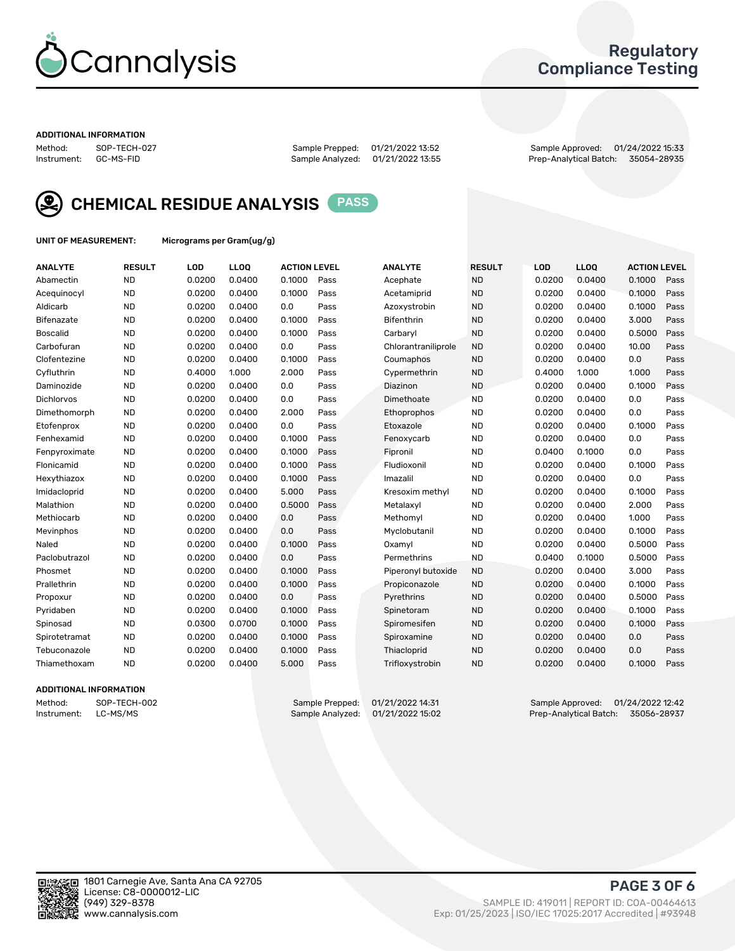

### Regulatory Compliance Testing

#### ADDITIONAL INFORMATION

Method: SOP-TECH-027 Sample Prepped: 01/21/2022 13:52 Sample Approved: 01/24/2022 15:33 Prep-Analytical Batch: 35054-28935



CHEMICAL RESIDUE ANALYSIS PASS

UNIT OF MEASUREMENT: Micrograms per Gram(ug/g)

| <b>ANALYTE</b>    | <b>RESULT</b> | LOD    | LL <sub>OO</sub> | <b>ACTION LEVEL</b> |      | <b>ANALYTE</b>      | <b>RESULT</b> | LOD    | <b>LLOQ</b> | <b>ACTION LEVEL</b> |      |
|-------------------|---------------|--------|------------------|---------------------|------|---------------------|---------------|--------|-------------|---------------------|------|
| Abamectin         | <b>ND</b>     | 0.0200 | 0.0400           | 0.1000              | Pass | Acephate            | <b>ND</b>     | 0.0200 | 0.0400      | 0.1000              | Pass |
| Acequinocyl       | <b>ND</b>     | 0.0200 | 0.0400           | 0.1000              | Pass | Acetamiprid         | <b>ND</b>     | 0.0200 | 0.0400      | 0.1000              | Pass |
| Aldicarb          | <b>ND</b>     | 0.0200 | 0.0400           | 0.0                 | Pass | Azoxystrobin        | <b>ND</b>     | 0.0200 | 0.0400      | 0.1000              | Pass |
| Bifenazate        | <b>ND</b>     | 0.0200 | 0.0400           | 0.1000              | Pass | <b>Bifenthrin</b>   | <b>ND</b>     | 0.0200 | 0.0400      | 3.000               | Pass |
| <b>Boscalid</b>   | <b>ND</b>     | 0.0200 | 0.0400           | 0.1000              | Pass | Carbaryl            | <b>ND</b>     | 0.0200 | 0.0400      | 0.5000              | Pass |
| Carbofuran        | <b>ND</b>     | 0.0200 | 0.0400           | 0.0                 | Pass | Chlorantraniliprole | <b>ND</b>     | 0.0200 | 0.0400      | 10.00               | Pass |
| Clofentezine      | <b>ND</b>     | 0.0200 | 0.0400           | 0.1000              | Pass | Coumaphos           | <b>ND</b>     | 0.0200 | 0.0400      | 0.0                 | Pass |
| Cyfluthrin        | <b>ND</b>     | 0.4000 | 1.000            | 2.000               | Pass | Cypermethrin        | <b>ND</b>     | 0.4000 | 1.000       | 1.000               | Pass |
| Daminozide        | <b>ND</b>     | 0.0200 | 0.0400           | 0.0                 | Pass | Diazinon            | <b>ND</b>     | 0.0200 | 0.0400      | 0.1000              | Pass |
| <b>Dichlorvos</b> | <b>ND</b>     | 0.0200 | 0.0400           | 0.0                 | Pass | Dimethoate          | <b>ND</b>     | 0.0200 | 0.0400      | 0.0                 | Pass |
| Dimethomorph      | <b>ND</b>     | 0.0200 | 0.0400           | 2.000               | Pass | <b>Ethoprophos</b>  | <b>ND</b>     | 0.0200 | 0.0400      | 0.0                 | Pass |
| Etofenprox        | <b>ND</b>     | 0.0200 | 0.0400           | 0.0                 | Pass | Etoxazole           | <b>ND</b>     | 0.0200 | 0.0400      | 0.1000              | Pass |
| Fenhexamid        | <b>ND</b>     | 0.0200 | 0.0400           | 0.1000              | Pass | Fenoxycarb          | <b>ND</b>     | 0.0200 | 0.0400      | 0.0                 | Pass |
| Fenpyroximate     | <b>ND</b>     | 0.0200 | 0.0400           | 0.1000              | Pass | Fipronil            | <b>ND</b>     | 0.0400 | 0.1000      | 0.0                 | Pass |
| Flonicamid        | <b>ND</b>     | 0.0200 | 0.0400           | 0.1000              | Pass | Fludioxonil         | <b>ND</b>     | 0.0200 | 0.0400      | 0.1000              | Pass |
| Hexythiazox       | <b>ND</b>     | 0.0200 | 0.0400           | 0.1000              | Pass | Imazalil            | <b>ND</b>     | 0.0200 | 0.0400      | 0.0                 | Pass |
| Imidacloprid      | <b>ND</b>     | 0.0200 | 0.0400           | 5.000               | Pass | Kresoxim methyl     | <b>ND</b>     | 0.0200 | 0.0400      | 0.1000              | Pass |
| Malathion         | <b>ND</b>     | 0.0200 | 0.0400           | 0.5000              | Pass | Metalaxyl           | <b>ND</b>     | 0.0200 | 0.0400      | 2.000               | Pass |
| Methiocarb        | <b>ND</b>     | 0.0200 | 0.0400           | 0.0                 | Pass | Methomyl            | <b>ND</b>     | 0.0200 | 0.0400      | 1.000               | Pass |
| Mevinphos         | <b>ND</b>     | 0.0200 | 0.0400           | 0.0                 | Pass | Myclobutanil        | <b>ND</b>     | 0.0200 | 0.0400      | 0.1000              | Pass |
| Naled             | <b>ND</b>     | 0.0200 | 0.0400           | 0.1000              | Pass | Oxamyl              | <b>ND</b>     | 0.0200 | 0.0400      | 0.5000              | Pass |
| Paclobutrazol     | <b>ND</b>     | 0.0200 | 0.0400           | 0.0                 | Pass | Permethrins         | <b>ND</b>     | 0.0400 | 0.1000      | 0.5000              | Pass |
| Phosmet           | <b>ND</b>     | 0.0200 | 0.0400           | 0.1000              | Pass | Piperonyl butoxide  | <b>ND</b>     | 0.0200 | 0.0400      | 3.000               | Pass |
| Prallethrin       | <b>ND</b>     | 0.0200 | 0.0400           | 0.1000              | Pass | Propiconazole       | <b>ND</b>     | 0.0200 | 0.0400      | 0.1000              | Pass |
| Propoxur          | <b>ND</b>     | 0.0200 | 0.0400           | 0.0                 | Pass | Pyrethrins          | <b>ND</b>     | 0.0200 | 0.0400      | 0.5000              | Pass |
| Pyridaben         | <b>ND</b>     | 0.0200 | 0.0400           | 0.1000              | Pass | Spinetoram          | <b>ND</b>     | 0.0200 | 0.0400      | 0.1000              | Pass |
| Spinosad          | <b>ND</b>     | 0.0300 | 0.0700           | 0.1000              | Pass | Spiromesifen        | <b>ND</b>     | 0.0200 | 0.0400      | 0.1000              | Pass |
| Spirotetramat     | <b>ND</b>     | 0.0200 | 0.0400           | 0.1000              | Pass | Spiroxamine         | <b>ND</b>     | 0.0200 | 0.0400      | 0.0                 | Pass |
| Tebuconazole      | <b>ND</b>     | 0.0200 | 0.0400           | 0.1000              | Pass | Thiacloprid         | <b>ND</b>     | 0.0200 | 0.0400      | 0.0                 | Pass |
| Thiamethoxam      | <b>ND</b>     | 0.0200 | 0.0400           | 5.000               | Pass | Trifloxystrobin     | <b>ND</b>     | 0.0200 | 0.0400      | 0.1000              | Pass |

#### ADDITIONAL INFORMATION

Method: SOP-TECH-002 Sample Prepped: 01/21/2022 14:31 Sample Approved: 01/24/2022 12:42<br>Instrument: LC-MS/MS Sample Analyzed: 01/21/2022 15:02 Prep-Analytical Batch: 35056-28937 Prep-Analytical Batch: 35056-28937

PAGE 3 OF 6

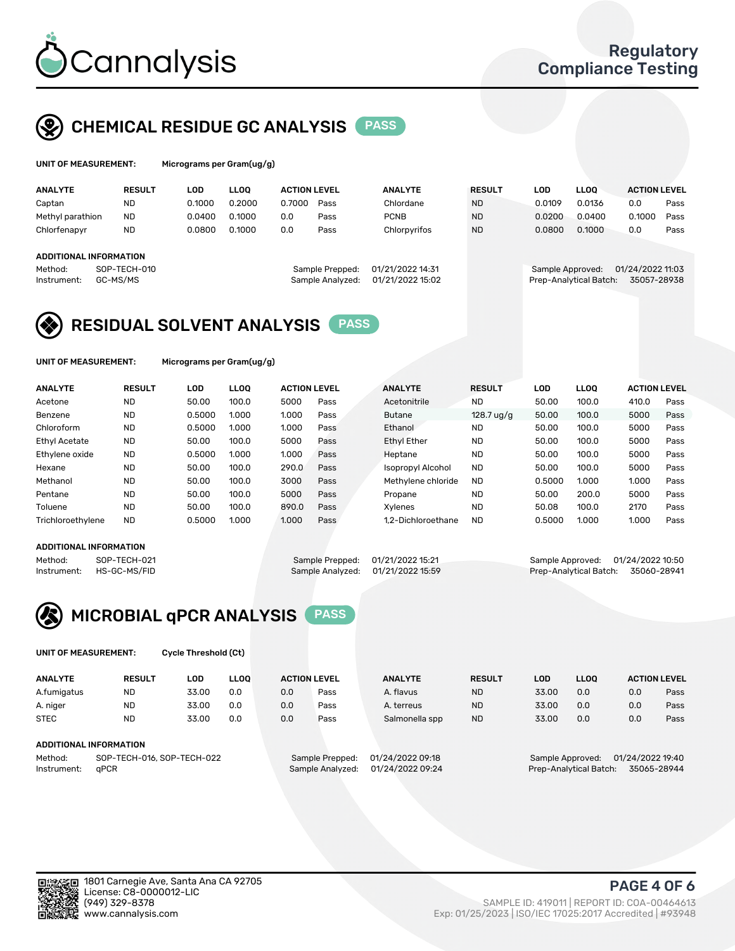

### CHEMICAL RESIDUE GC ANALYSIS PASS

| UNIT OF MEASUREMENT: |               |     | Micrograms per Gram(ug/g) |  |
|----------------------|---------------|-----|---------------------------|--|
| <b>ALLAIN/TE</b>     | <b>DEALLY</b> | ה ו |                           |  |

| <b>ANALYTE</b>                                   | <b>RESULT</b>            | LOD    | <b>LLOO</b> | <b>ACTION LEVEL</b> |                                     | <b>ANALYTE</b>                       | <b>RESULT</b> | LOD              | <b>LLOO</b>            | <b>ACTION LEVEL</b>             |      |
|--------------------------------------------------|--------------------------|--------|-------------|---------------------|-------------------------------------|--------------------------------------|---------------|------------------|------------------------|---------------------------------|------|
| Captan                                           | ND                       | 0.1000 | 0.2000      | 0.7000              | Pass                                | Chlordane                            | <b>ND</b>     | 0.0109           | 0.0136                 | 0.0                             | Pass |
| Methyl parathion                                 | <b>ND</b>                | 0.0400 | 0.1000      | 0.0                 | Pass                                | <b>PCNB</b>                          | <b>ND</b>     | 0.0200           | 0.0400                 | 0.1000                          | Pass |
| Chlorfenapyr                                     | <b>ND</b>                | 0.0800 | 0.1000      | 0.0                 | Pass                                | Chlorpyrifos                         | <b>ND</b>     | 0.0800           | 0.1000                 | 0.0                             | Pass |
| ADDITIONAL INFORMATION<br>Method:<br>Instrument: | SOP-TECH-010<br>GC-MS/MS |        |             |                     | Sample Prepped:<br>Sample Analyzed: | 01/21/2022 14:31<br>01/21/2022 15:02 |               | Sample Approved: | Prep-Analytical Batch: | 01/24/2022 11:03<br>35057-28938 |      |
|                                                  |                          |        |             |                     |                                     |                                      |               |                  |                        |                                 |      |

### RESIDUAL SOLVENT ANALYSIS PASS

UNIT OF MEASUREMENT: Micrograms per Gram(ug/g)

| <b>ANALYTE</b>       | <b>RESULT</b> | <b>LOD</b> | <b>LLOO</b> | <b>ACTION LEVEL</b> |      | <b>ANALYTE</b>           | <b>RESULT</b> | LOD    | <b>LLOO</b> | <b>ACTION LEVEL</b> |      |
|----------------------|---------------|------------|-------------|---------------------|------|--------------------------|---------------|--------|-------------|---------------------|------|
| Acetone              | <b>ND</b>     | 50.00      | 100.0       | 5000                | Pass | Acetonitrile             | <b>ND</b>     | 50.00  | 100.0       | 410.0               | Pass |
| Benzene              | <b>ND</b>     | 0.5000     | 1.000       | 1.000               | Pass | <b>Butane</b>            | $128.7$ ug/g  | 50.00  | 100.0       | 5000                | Pass |
| Chloroform           | <b>ND</b>     | 0.5000     | 1.000       | 1.000               | Pass | Ethanol                  | <b>ND</b>     | 50.00  | 100.0       | 5000                | Pass |
| <b>Ethyl Acetate</b> | <b>ND</b>     | 50.00      | 100.0       | 5000                | Pass | <b>Ethyl Ether</b>       | <b>ND</b>     | 50.00  | 100.0       | 5000                | Pass |
| Ethylene oxide       | <b>ND</b>     | 0.5000     | 1.000       | 1.000               | Pass | Heptane                  | <b>ND</b>     | 50.00  | 100.0       | 5000                | Pass |
| Hexane               | <b>ND</b>     | 50.00      | 100.0       | 290.0               | Pass | <b>Isopropyl Alcohol</b> | <b>ND</b>     | 50.00  | 100.0       | 5000                | Pass |
| Methanol             | <b>ND</b>     | 50.00      | 100.0       | 3000                | Pass | Methylene chloride       | <b>ND</b>     | 0.5000 | 1.000       | 1.000               | Pass |
| Pentane              | <b>ND</b>     | 50.00      | 100.0       | 5000                | Pass | Propane                  | <b>ND</b>     | 50.00  | 200.0       | 5000                | Pass |
| Toluene              | <b>ND</b>     | 50.00      | 100.0       | 890.0               | Pass | Xvlenes                  | <b>ND</b>     | 50.08  | 100.0       | 2170                | Pass |
| Trichloroethylene    | <b>ND</b>     | 0.5000     | 1.000       | 1.000               | Pass | 1.2-Dichloroethane       | <b>ND</b>     | 0.5000 | 1.000       | 1.000               | Pass |

#### ADDITIONAL INFORMATION

|             | ADDITIONAL INFORMATION |                                   |                                    |  |
|-------------|------------------------|-----------------------------------|------------------------------------|--|
| Method:     | SOP-TECH-021           | Sample Prepped: 01/21/2022 15:21  | Sample Approved: 01/24/2022 10:50  |  |
| Instrument: | HS-GC-MS/FID           | Sample Analyzed: 01/21/2022 15:59 | Prep-Analytical Batch: 35060-28941 |  |



UNIT OF MEASUREMENT: Cycle Threshold (Ct)

| <b>ANALYTE</b>                        | <b>RESULT</b> | LOD   | <b>LLOO</b> | <b>ACTION LEVEL</b> |                  | <b>ANALYTE</b>   | <b>RESULT</b>    | LOD                    | <b>LLOO</b>      |     | <b>ACTION LEVEL</b> |
|---------------------------------------|---------------|-------|-------------|---------------------|------------------|------------------|------------------|------------------------|------------------|-----|---------------------|
| A.fumigatus                           | ND            | 33.00 | 0.0         | 0.0                 | Pass             | A. flavus        | <b>ND</b>        | 33.00                  | 0.0              | 0.0 | Pass                |
| A. niger                              | <b>ND</b>     | 33.00 | 0.0         | 0.0                 | Pass             | A. terreus       | <b>ND</b>        | 33.00                  | 0.0              | 0.0 | Pass                |
| <b>STEC</b>                           | <b>ND</b>     | 33.00 | 0.0         | 0.0                 | Pass             | Salmonella spp   | <b>ND</b>        | 33.00                  | 0.0              | 0.0 | Pass                |
|                                       |               |       |             |                     |                  |                  |                  |                        |                  |     |                     |
| ADDITIONAL INFORMATION                |               |       |             |                     |                  |                  |                  |                        |                  |     |                     |
| SOP-TECH-016, SOP-TECH-022<br>Method: |               |       |             | Sample Prepped:     | 01/24/2022 09:18 |                  | Sample Approved: |                        | 01/24/2022 19:40 |     |                     |
| Instrument:                           | aPCR          |       |             |                     | Sample Analyzed: | 01/24/2022 09:24 |                  | Prep-Analytical Batch: |                  |     | 35065-28944         |



PAGE 4 OF 6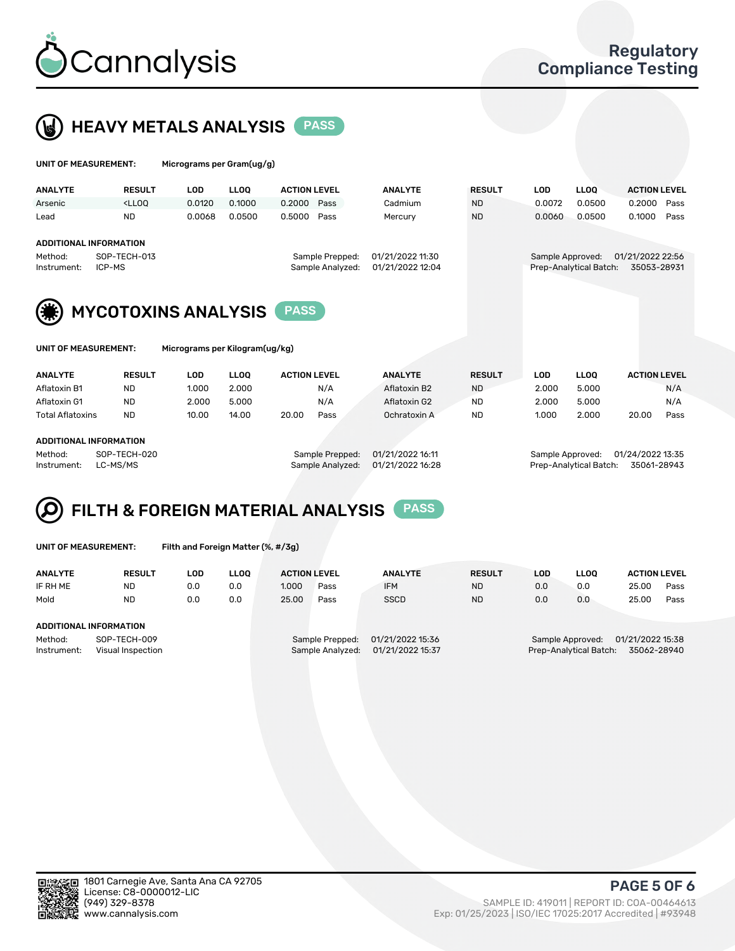

### HEAVY METALS ANALYSIS PASS

| UNIT OF MEASUREMENT: | Micrograms per Gram(ug/g) |
|----------------------|---------------------------|
|                      |                           |

| <b>ANALYTE</b> | <b>RESULT</b>                                                                                                                                                        | LOD    | <b>LLOO</b> | <b>ACTION LEVEL</b> | <b>ANALYTE</b>   | <b>RESULT</b> | LOD    | <b>LLOO</b>            | <b>ACTION LEVEL</b> |  |
|----------------|----------------------------------------------------------------------------------------------------------------------------------------------------------------------|--------|-------------|---------------------|------------------|---------------|--------|------------------------|---------------------|--|
| Arsenic        | <lloo< td=""><td>0.0120</td><td>0.1000</td><td>0.2000 Pass</td><td>Cadmium</td><td><b>ND</b></td><td>0.0072</td><td>0.0500</td><td>0.2000 Pass</td><td></td></lloo<> | 0.0120 | 0.1000      | 0.2000 Pass         | Cadmium          | <b>ND</b>     | 0.0072 | 0.0500                 | 0.2000 Pass         |  |
| Lead           | <b>ND</b>                                                                                                                                                            | 0.0068 | 0.0500      | 0.5000 Pass         | Mercury          | <b>ND</b>     | 0.0060 | 0.0500                 | 0.1000<br>Pass      |  |
|                |                                                                                                                                                                      |        |             |                     |                  |               |        |                        |                     |  |
|                | ADDITIONAL INFORMATION                                                                                                                                               |        |             |                     |                  |               |        |                        |                     |  |
| Method:        | SOP-TECH-013                                                                                                                                                         |        |             | Sample Prepped:     | 01/21/2022 11:30 |               |        | Sample Approved:       | 01/21/2022 22:56    |  |
| Instrument:    | ICP-MS                                                                                                                                                               |        |             | Sample Analyzed:    | 01/21/2022 12:04 |               |        | Prep-Analytical Batch: | 35053-28931         |  |
|                |                                                                                                                                                                      |        |             |                     |                  |               |        |                        |                     |  |



| UNIT OF MEASUREMENT: |  |  |  |
|----------------------|--|--|--|
|                      |  |  |  |

| UNIT OF MEASUREMENT: | Micrograms per Kilogram(ug/kg) |
|----------------------|--------------------------------|
|----------------------|--------------------------------|

| <b>ANALYTE</b>               | <b>RESULT</b> | LOD   | <b>LLOO</b> | <b>ACTION LEVEL</b> |      | <b>ANALYTE</b> | <b>RESULT</b> | LOD   | <b>LLOO</b> | <b>ACTION LEVEL</b> |      |
|------------------------------|---------------|-------|-------------|---------------------|------|----------------|---------------|-------|-------------|---------------------|------|
| Aflatoxin B1                 | <b>ND</b>     | 1.000 | 2.000       |                     | N/A  | Aflatoxin B2   | <b>ND</b>     | 2.000 | 5.000       |                     | N/A  |
| Aflatoxin G1                 | <b>ND</b>     | 2.000 | 5.000       |                     | N/A  | Aflatoxin G2   | <b>ND</b>     | 2.000 | 5.000       |                     | N/A  |
| <b>Total Aflatoxins</b>      | <b>ND</b>     | 10.00 | 14.00       | 20.00               | Pass | Ochratoxin A   | <b>ND</b>     | 1.000 | 2.000       | 20.00               | Pass |
|                              |               |       |             |                     |      |                |               |       |             |                     |      |
| 1.0.017101111111700111171011 |               |       |             |                     |      |                |               |       |             |                     |      |

#### ADDITIONAL INFORMATION

Method: SOP-TECH-020 Sample Prepped: 01/21/2022 16:11 Sample Approved: 01/24/2022 13:35 Instrument: LC-MS/MS Sample Analyzed: 01/21/2022 16:28 Prep-Analytical Batch: 35061-28943

## FILTH & FOREIGN MATERIAL ANALYSIS PASS

UNIT OF MEASUREMENT: Filth and Foreign Matter (%, #/3g)

| <b>ANALYTE</b>                                              | <b>RESULT</b> | LOD. | <b>LLOO</b> | <b>ACTION LEVEL</b> |                                     | <b>ANALYTE</b>                       | <b>RESULT</b> | LOD | <b>LLOO</b>                                | <b>ACTION LEVEL</b>             |      |
|-------------------------------------------------------------|---------------|------|-------------|---------------------|-------------------------------------|--------------------------------------|---------------|-----|--------------------------------------------|---------------------------------|------|
| IF RH ME                                                    | <b>ND</b>     | 0.0  | 0.0         | 1.000               | Pass                                | <b>IFM</b>                           | <b>ND</b>     | 0.0 | 0.0                                        | 25.00                           | Pass |
| Mold                                                        | <b>ND</b>     | 0.0  | 0.0         | 25.00               | Pass                                | <b>SSCD</b>                          | <b>ND</b>     | 0.0 | 0.0                                        | 25.00                           | Pass |
| ADDITIONAL INFORMATION                                      |               |      |             |                     |                                     |                                      |               |     |                                            |                                 |      |
| SOP-TECH-009<br>Method:<br>Instrument:<br>Visual Inspection |               |      |             |                     | Sample Prepped:<br>Sample Analyzed: | 01/21/2022 15:36<br>01/21/2022 15:37 |               |     | Sample Approved:<br>Prep-Analytical Batch: | 01/21/2022 15:38<br>35062-28940 |      |



PAGE 5 OF 6